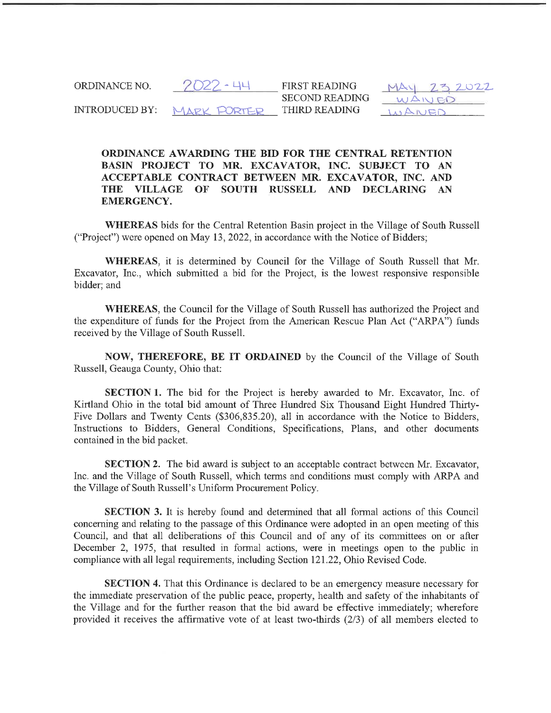| ORDINANCE NO.  | -2022 - 44  | <b>FIRST READING</b>  | 752022           |
|----------------|-------------|-----------------------|------------------|
|                |             | <b>SECOND READING</b> | $\triangle N1FI$ |
| INTRODUCED BY: | MADY DORTED | THIRD READING         |                  |

## ORDINANCE AWARDING THE BID FOR THE CENTRAL RETENTION BASIN PROJECT TO MR. EXCAVATOR, INC. SUBJECT TO AN ACCEPTABLE CONTRACT BETWEEN MR. EXCAVATOR, INC. AND THE VILLAGE OF SOUTH RUSSELL AND DECLARING AN EMERGENCY.

WHEREAS bids for the Central Retention Basin project in the Village of South Russell ("Project") were opened on May 13, 2022, in accordance with the Notice of Bidders;

WHEREAS, it is determined by Council for the Village of South Russell that Mr. Excavator, Inc., which submitted a bid for the Project, is the lowest responsive responsible bidder; and

WHEREAS, the Council for the Village of South Russell has authorized the Project and the expenditure of funds for the Project from the American Rescue Plan Act ("ARPA") funds received by the Village of South Russell.

NOW, THEREFORE, BE IT ORDAINED by the Council of the Village of South Russell, Geauga County, Ohio that:

SECTION 1. The bid for the Project is hereby awarded to Mr. Excavator, Inc. of Kirtland Ohio in the total bid amount of Three Hundred Six Thousand Eight Hundred Thirty-Five Dollars and Twenty Cents (\$306, 835.20), all in accordance with the Notice to Bidders, Instructions to Bidders, General Conditions, Specifications, Plans, and other documents contained in the bid packet.

SECTION 2. The bid award is subject to an acceptable contract between Mr. Excavator, Inc. and the Village of South Russell, which terms and conditions must comply with ARPA and the Village of South Russell's Uniform Procurement Policy.

SECTION 3. It is hereby found and determined that all formal actions of this Council concerning and relating to the passage of this Ordinance were adopted in an open meeting of this Council, and that all deliberations of this Council and of any of its committees on or after December 2, 1975, that resulted in formal actions, were in meetings open to the public in compliance with all legal requirements, including Section 121.22, Ohio Revised Code.

SECTION 4. That this Ordinance is declared to be an emergency measure necessary for the immediate preservation of the public peace, property, health and safety of the inhabitants of the Village and for the further reason that the bid award be effective immediately; wherefore provided it receives the affirmative vote of at least two-thirds (2/3) of all members elected to